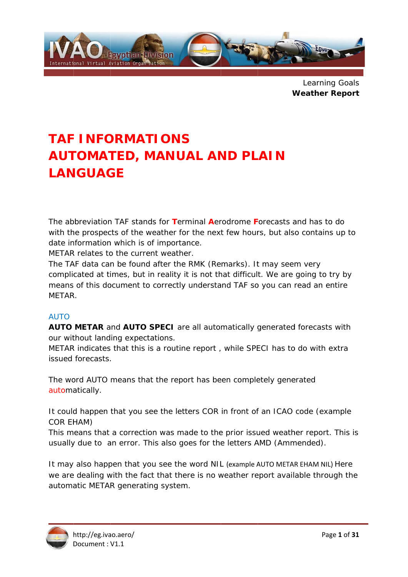

Learning Goals **Weather Report** 

# **TAF INFORMATIONS AUTOMATED, MANUAL AND PLAIN LANGUAGE**

The abbreviation TAF stands for Terminal Aerodrome Forecasts and has to do with the prospects of the weather for the next few hours, but also contains up to date information which is of importance.

METAR relates to the current weather.

The TAF data can be found after the RMK (Remarks). It may seem very complicated at times, but in reality it is not that difficult. We are going to try by means of this document to correctly understand TAF so you can read an entire METAR.

# **AUTO**

AUTO METAR and AUTO SPECI are all automatically generated forecasts with our without landing expectations.

METAR indicates that this is a routine report, while SPECI has to do with extra issued forecasts.

The word AUTO means that the report has been completely generated automatically.

It could happen that you see the letters COR in front of an ICAO code (example **COR EHAM)** 

This means that a correction was made to the prior issued weather report. This is usually due to an error. This also goes for the letters AMD (Ammended).

It may also happen that you see the word NIL (example AUTO METAR EHAM NIL) Here we are dealing with the fact that there is no weather report available through the automatic METAR generating system.

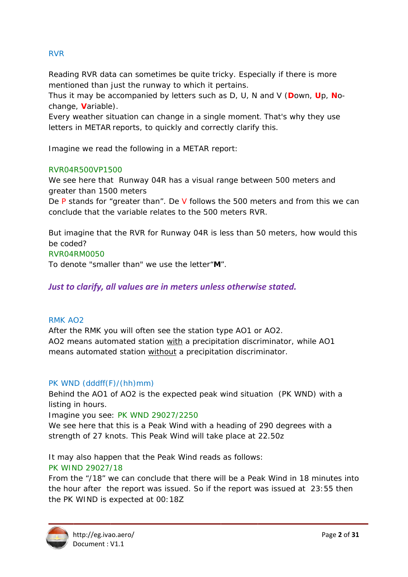# **RVR**

Reading RVR data can sometimes be quite tricky. Especially if there is more mentioned than just the runway to which it pertains.

Thus it may be accompanied by letters such as D. U. N and V (Down, Up. Nochange, Variable).

Every weather situation can change in a single moment. That's why they use letters in METAR reports, to quickly and correctly clarify this.

Imagine we read the following in a METAR report:

# RVR04R500VP1500

We see here that Runway 04R has a visual range between 500 meters and greater than 1500 meters

De P stands for "greater than". De V follows the 500 meters and from this we can conclude that the variable relates to the 500 meters RVR.

But imagine that the RVR for Runway 04R is less than 50 meters, how would this be coded?

### RVR04RM0050

To denote "smaller than" we use the letter "M".

# Just to clarify, all values are in meters unless otherwise stated.

### **RMK AO2**

After the RMK you will often see the station type AO1 or AO2. AO2 means automated station with a precipitation discriminator, while AO1 means automated station without a precipitation discriminator.

### PK WND (dddff(F)/(hh)mm)

Behind the AO1 of AO2 is the expected peak wind situation (PK WND) with a listing in hours.

Imagine you see: PK WND 29027/2250

We see here that this is a Peak Wind with a heading of 290 degrees with a strength of 27 knots. This Peak Wind will take place at 22.50z

It may also happen that the Peak Wind reads as follows:

# PK WIND 29027/18

From the "/18" we can conclude that there will be a Peak Wind in 18 minutes into the hour after the report was issued. So if the report was issued at 23:55 then the PK WIND is expected at 00:18Z

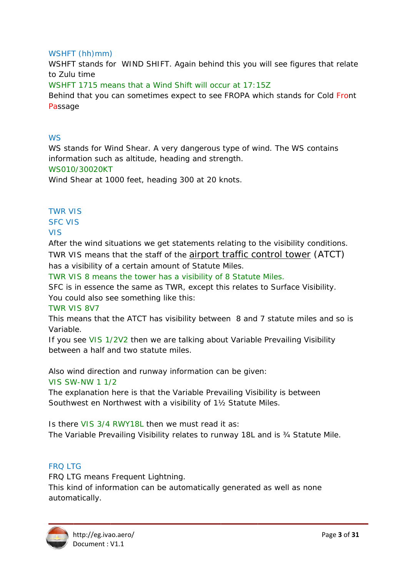# WSHFT (hh)mm)

WSHFT stands for WIND SHIFT. Again behind this you will see figures that relate to Zulu time WSHFT 1715 means that a Wind Shift will occur at 17:15Z Behind that you can sometimes expect to see FROPA which stands for Cold Front Passage

# $M\zeta$

WS stands for Wind Shear. A very dangerous type of wind. The WS contains information such as altitude, heading and strength. WS010/30020KT

Wind Shear at 1000 feet, heading 300 at 20 knots.

# **TWR VIS**

**SFC VIS** 

# **VIS**

After the wind situations we get statements relating to the visibility conditions. TWR VIS means that the staff of the *airport traffic control tower* (ATCT) has a visibility of a certain amount of Statute Miles.

TWR VIS 8 means the tower has a visibility of 8 Statute Miles.

SFC is in essence the same as TWR, except this relates to Surface Visibility. You could also see something like this:

### **TWR VIS 8V7**

This means that the ATCT has visibility between 8 and 7 statute miles and so is Variable.

If you see VIS 1/2V2 then we are talking about Variable Prevailing Visibility between a half and two statute miles.

Also wind direction and runway information can be given:

**VIS SW-NW 1 1/2** 

The explanation here is that the Variable Prevailing Visibility is between Southwest en Northwest with a visibility of 11/2 Statute Miles.

Is there VIS 3/4 RWY18L then we must read it as: The Variable Prevailing Visibility relates to runway 18L and is 34 Statute Mile.

# **FRO LTG**

FRQ LTG means Frequent Lightning.

This kind of information can be automatically generated as well as none automatically.

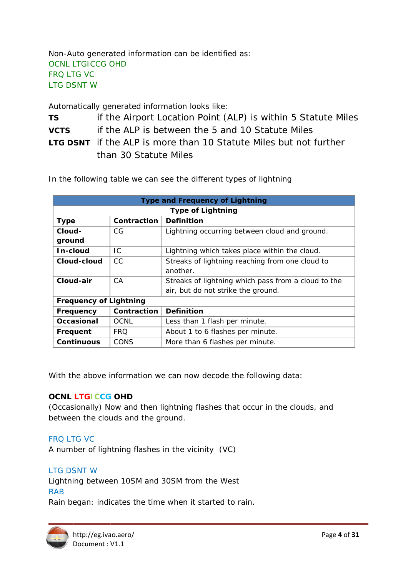Non-Auto generated information can be identified as: **OCNL LTGICCG OHD FRO LTG VC LTG DSNT W** 

Automatically generated information looks like:

if the Airport Location Point (ALP) is within 5 Statute Miles **TS** if the ALP is between the 5 and 10 Statute Miles **VCTS LTG DSNT** if the ALP is more than 10 Statute Miles but not further than 30 Statute Miles

In the following table we can see the different types of lightning

| <b>Type and Frequency of Lightning</b> |                                  |                                                     |  |
|----------------------------------------|----------------------------------|-----------------------------------------------------|--|
| <b>Type of Lightning</b>               |                                  |                                                     |  |
| <b>Type</b>                            | Contraction<br><b>Definition</b> |                                                     |  |
| Cloud-                                 | CG                               | Lightning occurring between cloud and ground.       |  |
| ground                                 |                                  |                                                     |  |
| In-cloud                               | IC.                              | Lightning which takes place within the cloud.       |  |
| Cloud-cloud                            | <b>CC</b>                        | Streaks of lightning reaching from one cloud to     |  |
|                                        |                                  | another.                                            |  |
| Cloud-air                              | CA                               | Streaks of lightning which pass from a cloud to the |  |
|                                        |                                  | air, but do not strike the ground.                  |  |
| <b>Frequency of Lightning</b>          |                                  |                                                     |  |
| <b>Frequency</b>                       | Contraction                      | <b>Definition</b>                                   |  |
| Occasional                             | <b>OCNL</b>                      | Less than 1 flash per minute.                       |  |
| Frequent                               | <b>FRO</b>                       | About 1 to 6 flashes per minute.                    |  |
| <b>Continuous</b>                      | CONS                             | More than 6 flashes per minute.                     |  |

With the above information we can now decode the following data:

# **OCNL LTGICCG OHD**

(Occasionally) Now and then lightning flashes that occur in the clouds, and between the clouds and the ground.

### **FRO LTG VC**

A number of lightning flashes in the vicinity (VC)

# **LTG DSNT W**

Lightning between 10SM and 30SM from the West **RAB** 

Rain began: indicates the time when it started to rain.

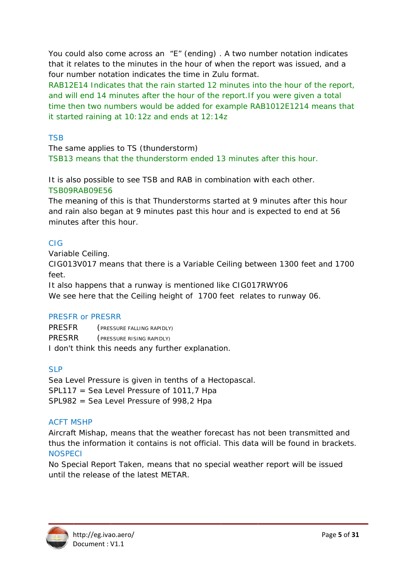You could also come across an "E" (ending). A two number notation indicates that it relates to the minutes in the hour of when the report was issued, and a four number notation indicates the time in Zulu format.

RAB12E14 Indicates that the rain started 12 minutes into the hour of the report, and will end 14 minutes after the hour of the report. If you were given a total time then two numbers would be added for example RAB1012E1214 means that it started raining at 10:12z and ends at 12:14z

# **TSB**

The same applies to TS (thunderstorm) TSB13 means that the thunderstorm ended 13 minutes after this hour.

It is also possible to see TSB and RAB in combination with each other. TSB09RAB09E56

The meaning of this is that Thunderstorms started at 9 minutes after this hour and rain also began at 9 minutes past this hour and is expected to end at 56 minutes after this hour.

# CIG.

Variable Ceiling.

CIG013V017 means that there is a Variable Ceiling between 1300 feet and 1700 feet

It also happens that a runway is mentioned like CIG017RWY06 We see here that the Ceiling height of 1700 feet relates to runway 06.

# **PRESFR or PRESRR**

**PRESER** (PRESSURE FALLING RAPIDLY) PRESRR (PRESSURE RISING RAPIDLY) I don't think this needs any further explanation.

# $SIP$

Sea Level Pressure is given in tenths of a Hectopascal. SPL117 = Sea Level Pressure of 1011,7 Hpa SPL982 = Sea Level Pressure of 998,2 Hpa

# **ACFT MSHP**

Aircraft Mishap, means that the weather forecast has not been transmitted and thus the information it contains is not official. This data will be found in brackets. **NOSPECI** 

No Special Report Taken, means that no special weather report will be issued until the release of the latest METAR.

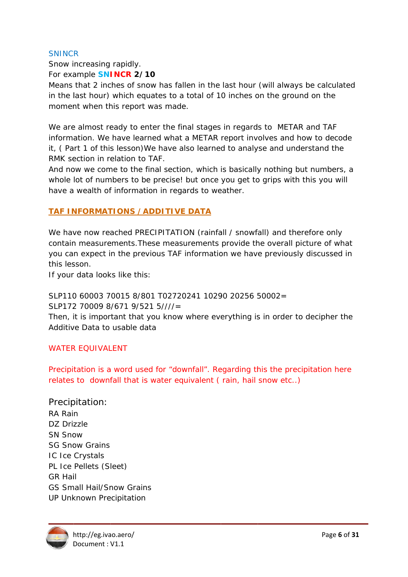# **SNINCR**

Snow increasing rapidly. For example **SNINCR 2/10** 

Means that 2 inches of snow has fallen in the last hour (will always be calculated in the last hour) which equates to a total of 10 inches on the ground on the moment when this report was made.

We are almost ready to enter the final stages in regards to METAR and TAF information. We have learned what a METAR report involves and how to decode it, (Part 1 of this lesson) We have also learned to analyse and understand the RMK section in relation to TAF.

And now we come to the final section, which is basically nothing but numbers, a whole lot of numbers to be precise! but once you get to grips with this you will have a wealth of information in regards to weather.

# **TAF INFORMATIONS / ADDITIVE DATA**

We have now reached PRECIPITATION (rainfall / snowfall) and therefore only contain measurements. These measurements provide the overall picture of what you can expect in the previous TAF information we have previously discussed in this lesson.

If your data looks like this:

SLP110 60003 70015 8/801 T02720241 10290 20256 50002= SLP172 70009 8/671 9/521 5////=

Then, it is important that you know where everything is in order to decipher the Additive Data to usable data

# **WATER FOUIVALENT**

Precipitation is a word used for "downfall". Regarding this the precipitation here relates to downfall that is water equivalent (rain, hail snow etc..)

Precipitation: RA Rain DZ Drizzle **SN Snow SG Snow Grains IC Ice Crystals** PL Ice Pellets (Sleet) **GR Hail GS Small Hail/Snow Grains UP Unknown Precipitation** 

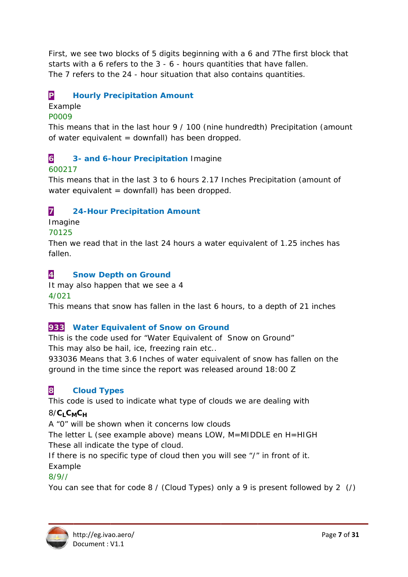First, we see two blocks of 5 digits beginning with a 6 and 7The first block that starts with a 6 refers to the 3 - 6 - hours quantities that have fallen. The 7 refers to the 24 - hour situation that also contains quantities.

#### P **Hourly Precipitation Amount**

# Example

# P0009

This means that in the last hour 9 / 100 (nine hundredth) Precipitation (amount of water equivalent = downfall) has been dropped.

#### $\overline{6}$ 3- and 6-hour Precipitation Imagine

# 600217

This means that in the last 3 to 6 hours 2.17 Inches Precipitation (amount of water equivalent = downfall) has been dropped.

#### $\overline{7}$ **24-Hour Precipitation Amount**

Imagine

# 70125

Then we read that in the last 24 hours a water equivalent of 1.25 inches has fallen.

#### $\overline{A}$ **Snow Depth on Ground**

It may also happen that we see a 4  $4/021$ 

This means that snow has fallen in the last 6 hours, to a depth of 21 inches

# 933 Water Equivalent of Snow on Ground

This is the code used for "Water Equivalent of Snow on Ground" This may also be hail, ice, freezing rain etc..

933036 Means that 3.6 Inches of water equivalent of snow has fallen on the ground in the time since the report was released around 18:00 Z

#### 8 **Cloud Types**

This code is used to indicate what type of clouds we are dealing with

# $8/C_LC_MC_H$

A "0" will be shown when it concerns low clouds

The letter L (see example above) means LOW, M=MIDDLE en H=HIGH These all indicate the type of cloud.

If there is no specific type of cloud then you will see "/" in front of it. Example

# $8/9/7$

You can see that for code 8 / (Cloud Types) only a 9 is present followed by 2 (/)

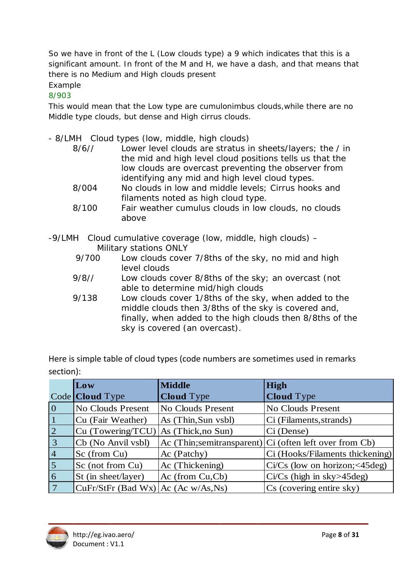So we have in front of the L (Low clouds type) a 9 which indicates that this is a significant amount. In front of the M and H, we have a dash, and that means that there is no Medium and High clouds present

# Example

 $8/903$ 

This would mean that the Low type are cumulonimbus clouds, while there are no Middle type clouds, but dense and High cirrus clouds.

- 8/LMH Cloud types (low, middle, high clouds)

| 8/6/7 | Lower level clouds are stratus in sheets/layers; the / in |
|-------|-----------------------------------------------------------|
|       | the mid and high level cloud positions tells us that the  |
|       | low clouds are overcast preventing the observer from      |
|       | identifying any mid and high level cloud types.           |
| 8/004 | No clouds in low and middle levels; Cirrus hooks and      |
|       | filaments noted as high cloud type.                       |

- $8/100$ Fair weather cumulus clouds in low clouds, no clouds above
- -9/LMH Cloud cumulative coverage (low, middle, high clouds) -Military stations ONLY
	- 9/700 Low clouds cover 7/8ths of the sky, no mid and high level clouds
	- $9/8/7$ Low clouds cover 8/8ths of the sky; an overcast (not able to determine mid/high clouds
	- 9/138 Low clouds cover 1/8ths of the sky, when added to the middle clouds then 3/8ths of the sky is covered and, finally, when added to the high clouds then 8/8ths of the sky is covered (an overcast).

Here is simple table of cloud types (code numbers are sometimes used in remarks section):

|                | Low                                     | <b>Middle</b>        | <b>High</b>                                               |
|----------------|-----------------------------------------|----------------------|-----------------------------------------------------------|
|                | Code <b>Cloud</b> Type                  | <b>Cloud</b> Type    | <b>Cloud</b> Type                                         |
| $\overline{0}$ | No Clouds Present                       | No Clouds Present    | <b>No Clouds Present</b>                                  |
|                | Cu (Fair Weather)                       | As (Thin, Sun vsbl)  | Ci (Filaments, strands)                                   |
| $\overline{2}$ | Cu (Towering/TCU)                       | $As$ (Thick, no Sun) | Ci (Dense)                                                |
| 3              | Cb (No Anvil vsbl)                      |                      | Ac $(Think:semitransparent)$ Ci (often left over from Cb) |
| $\overline{4}$ | Sc (from Cu)                            | Ac (Patchy)          | Ci (Hooks/Filaments thickening)                           |
| $\overline{5}$ | Sc (not from Cu)                        | Ac (Thickening)      | $Ci/Cs$ (low on horizon; $<$ 45 deg)                      |
| 6              | St (in sheet/layer)                     | $Ac$ (from $Cu,Cb$ ) | $Ci/Cs$ (high in sky $>45deg$ )                           |
| 7              | $CuFr/StFr$ (Bad Wx) $ Ac$ (Ac w/As,Ns) |                      | Cs (covering entire sky)                                  |

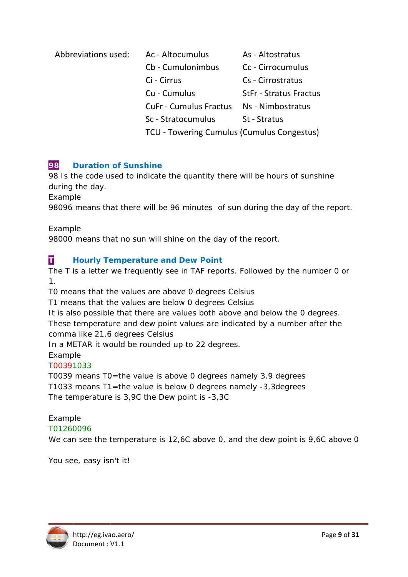| Abbreviations used: | Ac - Altocumulus                           | As - Altostratus              |
|---------------------|--------------------------------------------|-------------------------------|
|                     | Cb - Cumulonimbus                          | Cc - Cirrocumulus             |
|                     | Ci - Cirrus                                | Cs - Cirrostratus             |
|                     | Cu - Cumulus                               | <b>StFr - Stratus Fractus</b> |
|                     | <b>CuFr - Cumulus Fractus</b>              | Ns - Nimbostratus             |
|                     | Sc - Stratocumulus                         | St - Stratus                  |
|                     | TCU - Towering Cumulus (Cumulus Congestus) |                               |

#### 98 **Duration of Sunshine**

98 Is the code used to indicate the quantity there will be hours of sunshine during the day.

Example

98096 means that there will be 96 minutes of sun during the day of the report.

Example

98000 means that no sun will shine on the day of the report.

#### T **Hourly Temperature and Dew Point**

The T is a letter we frequently see in TAF reports. Followed by the number 0 or  $\mathbf{1}$ 

TO means that the values are above 0 degrees Celsius

T1 means that the values are below 0 degrees Celsius

It is also possible that there are values both above and below the 0 degrees. These temperature and dew point values are indicated by a number after the comma like 21.6 degrees Celsius

In a METAR it would be rounded up to 22 degrees.

Example

# T00391033

T0039 means T0=the value is above 0 degrees namely 3.9 degrees T1033 means T1=the value is below 0 degrees namely -3,3degrees The temperature is 3,9C the Dew point is -3,3C

# Example

T01260096

We can see the temperature is 12,6C above 0, and the dew point is 9,6C above 0

You see, easy isn't it!

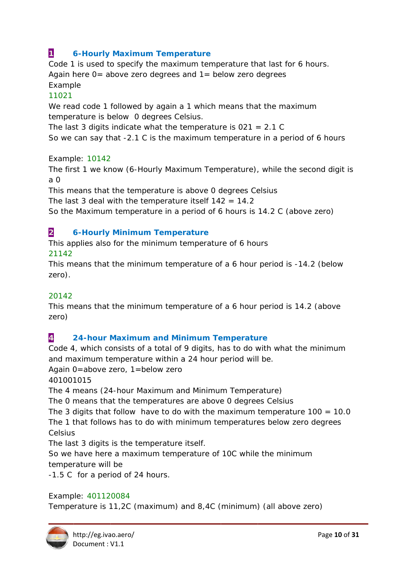#### $\mathbf 1$ **6-Hourly Maximum Temperature**

Code 1 is used to specify the maximum temperature that last for 6 hours. Again here  $0$  = above zero degrees and  $1$  = below zero degrees Example

# 11021

We read code 1 followed by again a 1 which means that the maximum temperature is below 0 degrees Celsius.

The last 3 digits indicate what the temperature is  $021 = 2.1 C$ 

So we can say that -2.1 C is the maximum temperature in a period of 6 hours

Example: 10142

The first 1 we know (6-Hourly Maximum Temperature), while the second digit is  $a \Omega$ 

This means that the temperature is above 0 degrees Celsius

The last 3 deal with the temperature itself  $142 = 14.2$ 

So the Maximum temperature in a period of 6 hours is 14.2 C (above zero)

#### $\overline{2}$ **6-Hourly Minimum Temperature**

This applies also for the minimum temperature of 6 hours 21142

This means that the minimum temperature of a 6 hour period is -14.2 (below zero).

# 20142

This means that the minimum temperature of a 6 hour period is 14.2 (above zero)

#### $\overline{\mathbf{A}}$ **24-hour Maximum and Minimum Temperature**

Code 4, which consists of a total of 9 digits, has to do with what the minimum and maximum temperature within a 24 hour period will be.

Again 0=above zero, 1=below zero

401001015

The 4 means (24-hour Maximum and Minimum Temperature)

The 0 means that the temperatures are above 0 degrees Celsius

The 3 digits that follow have to do with the maximum temperature  $100 = 10.0$ The 1 that follows has to do with minimum temperatures below zero degrees Celsius

The last 3 digits is the temperature itself.

So we have here a maximum temperature of 10C while the minimum temperature will be

-1.5 C for a period of 24 hours.

# Example: 401120084

Temperature is 11,2C (maximum) and 8,4C (minimum) (all above zero)

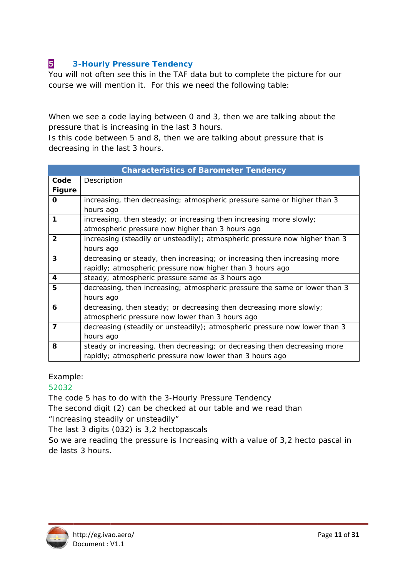#### 5 **3-Hourly Pressure Tendency**

You will not often see this in the TAF data but to complete the picture for our course we will mention it. For this we need the following table:

When we see a code laying between 0 and 3, then we are talking about the pressure that is increasing in the last 3 hours.

Is this code between 5 and 8, then we are talking about pressure that is decreasing in the last 3 hours.

|               | <b>Characteristics of Barometer Tendency</b>                                |
|---------------|-----------------------------------------------------------------------------|
| Code          | Description                                                                 |
| <b>Figure</b> |                                                                             |
| 0             | increasing, then decreasing; atmospheric pressure same or higher than 3     |
|               | hours ago                                                                   |
| 1             | increasing, then steady; or increasing then increasing more slowly;         |
|               | atmospheric pressure now higher than 3 hours ago                            |
| $\mathbf{2}$  | increasing (steadily or unsteadily); atmospheric pressure now higher than 3 |
|               | hours ago                                                                   |
| 3             | decreasing or steady, then increasing; or increasing then increasing more   |
|               | rapidly; atmospheric pressure now higher than 3 hours ago                   |
| 4             | steady; atmospheric pressure same as 3 hours ago                            |
| 5             | decreasing, then increasing; atmospheric pressure the same or lower than 3  |
|               | hours ago                                                                   |
| 6             | decreasing, then steady; or decreasing then decreasing more slowly;         |
|               | atmospheric pressure now lower than 3 hours ago                             |
| 7             | decreasing (steadily or unsteadily); atmospheric pressure now lower than 3  |
|               | hours ago                                                                   |
| 8             | steady or increasing, then decreasing; or decreasing then decreasing more   |
|               | rapidly; atmospheric pressure now lower than 3 hours ago                    |

# Example:

# 52032

The code 5 has to do with the 3-Hourly Pressure Tendency

The second digit (2) can be checked at our table and we read than

"Increasing steadily or unsteadily"

The last 3 digits (032) is 3,2 hectopascals

So we are reading the pressure is Increasing with a value of 3,2 hecto pascal in de lasts 3 hours.

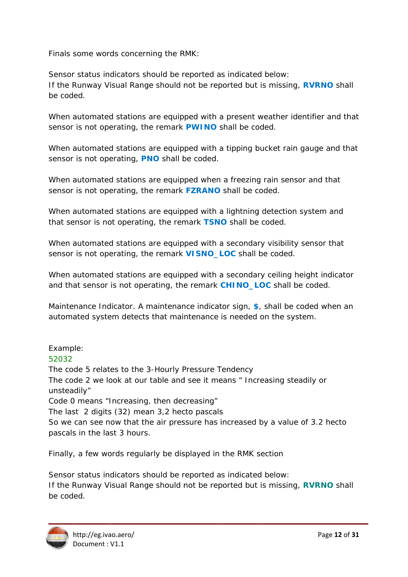Finals some words concerning the RMK:

Sensor status indicators should be reported as indicated below: If the Runway Visual Range should not be reported but is missing, RVRNO shall he coded

When automated stations are equipped with a present weather identifier and that sensor is not operating, the remark **PWINO** shall be coded.

When automated stations are equipped with a tipping bucket rain gauge and that sensor is not operating, **PNO** shall be coded.

When automated stations are equipped when a freezing rain sensor and that sensor is not operating, the remark **FZRANO** shall be coded.

When automated stations are equipped with a lightning detection system and that sensor is not operating, the remark **TSNO** shall be coded.

When automated stations are equipped with a secondary visibility sensor that sensor is not operating, the remark **VISNO LOC** shall be coded.

When automated stations are equipped with a secondary ceiling height indicator and that sensor is not operating, the remark CHINO\_LOC shall be coded.

Maintenance Indicator. A maintenance indicator sign, \$, shall be coded when an automated system detects that maintenance is needed on the system.

Example: 52032 The code 5 relates to the 3-Hourly Pressure Tendency The code 2 we look at our table and see it means " Increasing steadily or unsteadily" Code 0 means "Increasing, then decreasing" The last 2 digits (32) mean 3,2 hecto pascals So we can see now that the air pressure has increased by a value of 3.2 hecto pascals in the last 3 hours.

Finally, a few words regularly be displayed in the RMK section

Sensor status indicators should be reported as indicated below: If the Runway Visual Range should not be reported but is missing, **RVRNO** shall be coded.

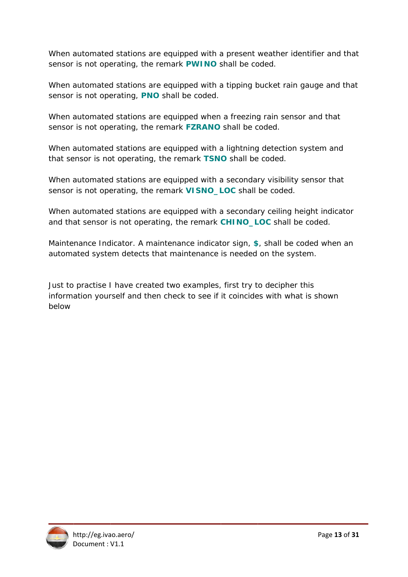When automated stations are equipped with a present weather identifier and that sensor is not operating, the remark **PWINO** shall be coded.

When automated stations are equipped with a tipping bucket rain gauge and that sensor is not operating, **PNO** shall be coded.

When automated stations are equipped when a freezing rain sensor and that sensor is not operating, the remark **FZRANO** shall be coded.

When automated stations are equipped with a lightning detection system and that sensor is not operating, the remark TSNO shall be coded.

When automated stations are equipped with a secondary visibility sensor that sensor is not operating, the remark **VISNO\_LOC** shall be coded.

When automated stations are equipped with a secondary ceiling height indicator and that sensor is not operating, the remark **CHINO\_LOC** shall be coded.

Maintenance Indicator. A maintenance indicator sign, \$, shall be coded when an automated system detects that maintenance is needed on the system.

Just to practise I have created two examples, first try to decipher this information yourself and then check to see if it coincides with what is shown below

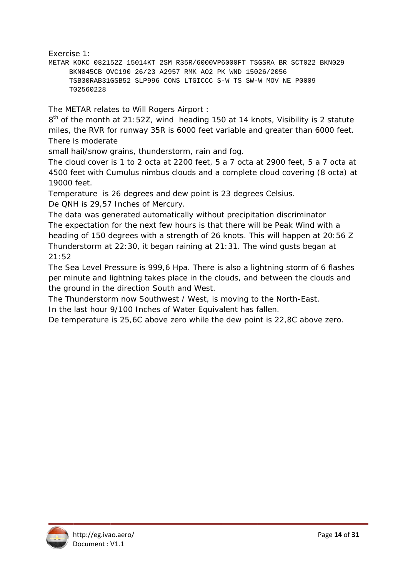Exercise 1:

METAR KOKC 082152Z 15014KT 2SM R35R/6000VP6000FT TSGSRA BR SCT022 BKN029 BKN045CB OVC190 26/23 A2957 RMK A02 PK WND 15026/2056 TSB30RAB31GSB52 SLP996 CONS LTGICCC S-W TS SW-W MOV NE P0009 T02560228

The METAR relates to Will Rogers Airport:

 $8<sup>th</sup>$  of the month at 21:52Z, wind heading 150 at 14 knots, Visibility is 2 statute miles, the RVR for runway 35R is 6000 feet variable and greater than 6000 feet. There is moderate

small hail/snow grains, thunderstorm, rain and fog.

The cloud cover is 1 to 2 octa at 2200 feet, 5 a 7 octa at 2900 feet, 5 a 7 octa at 4500 feet with Cumulus nimbus clouds and a complete cloud covering (8 octa) at 19000 feet.

Temperature is 26 degrees and dew point is 23 degrees Celsius.

De QNH is 29,57 Inches of Mercury.

The data was generated automatically without precipitation discriminator The expectation for the next few hours is that there will be Peak Wind with a heading of 150 degrees with a strength of 26 knots. This will happen at 20:56 Z Thunderstorm at 22:30, it began raining at 21:31. The wind gusts began at  $21:52$ 

The Sea Level Pressure is 999,6 Hpa. There is also a lightning storm of 6 flashes per minute and lightning takes place in the clouds, and between the clouds and the ground in the direction South and West.

The Thunderstorm now Southwest / West, is moving to the North-East.

In the last hour 9/100 Inches of Water Equivalent has fallen.

De temperature is 25,6C above zero while the dew point is 22,8C above zero.

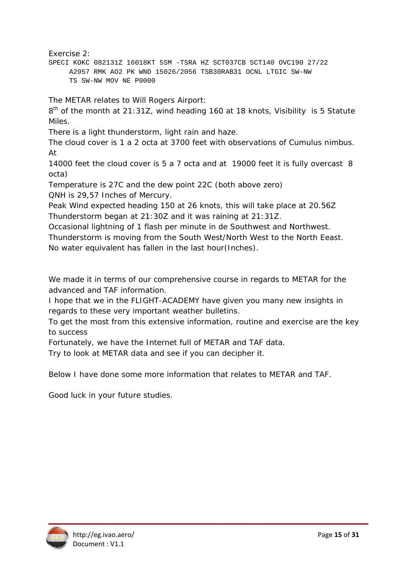Exercise 2:

SPECI KOKC 082131Z 16018KT 5SM -TSRA HZ SCT037CB SCT140 OVC190 27/22 A2957 RMK AO2 PK WND 15026/2056 TSB30RAB31 OCNL LTGIC SW-NW TS SW-NW MOV NE P0000

The METAR relates to Will Rogers Airport:

8<sup>th</sup> of the month at 21:31Z, wind heading 160 at 18 knots, Visibility is 5 Statute Miles.

There is a light thunderstorm, light rain and haze.

The cloud cover is 1 a 2 octa at 3700 feet with observations of Cumulus nimbus. At

14000 feet the cloud cover is 5 a 7 octa and at 19000 feet it is fully overcast 8 octa)

Temperature is 27C and the dew point 22C (both above zero)

QNH is 29,57 Inches of Mercury.

Peak Wind expected heading 150 at 26 knots, this will take place at 20.56Z Thunderstorm began at 21:30Z and it was raining at 21:31Z.

Occasional lightning of 1 flash per minute in de Southwest and Northwest. Thunderstorm is moving from the South West/North West to the North Eeast. No water equivalent has fallen in the last hour (Inches).

We made it in terms of our comprehensive course in regards to METAR for the advanced and TAF information.

I hope that we in the FLIGHT-ACADEMY have given you many new insights in regards to these very important weather bulletins.

To get the most from this extensive information, routine and exercise are the key to success

Fortunately, we have the Internet full of METAR and TAF data.

Try to look at METAR data and see if you can decipher it.

Below I have done some more information that relates to METAR and TAF.

Good luck in your future studies.

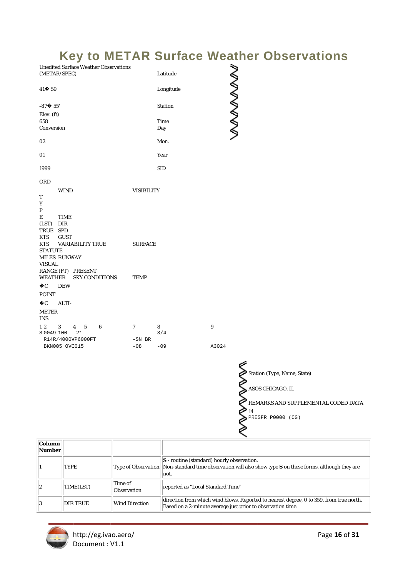# **Key to METAR Surface Weather Observations**

| <b>Unedited Surface Weather Observations</b><br>(METAR/SPEC) |                   | Latitude       | <b>NANANAN</b> |
|--------------------------------------------------------------|-------------------|----------------|----------------|
| 41♦ 59'                                                      |                   | Longitude      |                |
| $-87 + 55'$                                                  |                   | <b>Station</b> |                |
| Elev. (ft)                                                   |                   |                |                |
| 658                                                          |                   | <b>Time</b>    |                |
| Conversion                                                   |                   | Day            |                |
| 02                                                           |                   | Mon.           |                |
| 01                                                           |                   | Year           |                |
| 1999                                                         |                   | <b>SID</b>     |                |
| ORD                                                          |                   |                |                |
| <b>WIND</b>                                                  | <b>VISIBILITY</b> |                |                |
| т                                                            |                   |                |                |
| Y                                                            |                   |                |                |
| P                                                            |                   |                |                |
| E<br><b>TIME</b>                                             |                   |                |                |
| (LST) DIR                                                    |                   |                |                |
| TRUE SPD                                                     |                   |                |                |
| <b>KTS</b><br><b>GUST</b>                                    |                   |                |                |
| <b>KTS</b><br><b>VARIABILITY TRUE</b>                        | <b>SURFACE</b>    |                |                |
| <b>STATUTE</b><br>MILES RUNWAY                               |                   |                |                |
| <b>VISUAL</b>                                                |                   |                |                |
| RANGE (FT) PRESENT                                           |                   |                |                |
| WEATHER<br><b>SKY CONDITIONS</b>                             | <b>TEMP</b>       |                |                |
| $\odot$ C<br><b>DEW</b>                                      |                   |                |                |
| <b>POINT</b>                                                 |                   |                |                |
| $\odot$<br>ALTI-                                             |                   |                |                |
| <b>METER</b><br>INS.                                         |                   |                |                |
| 12<br>3<br>5<br>6<br>4                                       | 7                 | 8              | 9              |
| S 0049 100<br>21                                             |                   | 3/4            |                |
| R14R/4000VP6000FT                                            | $-SN$ BR          |                |                |
| BKN005 OVC015                                                | $-08$             | $-09$          | A3024          |
|                                                              |                   |                |                |

Station (Type, Name, State)  $\sum$  ASOS CHICAGO, IL REMARKS AND SUPPLEMENTAL CODED DATA

| Column<br>Number |             |                               |                                                                                                                                                                       |
|------------------|-------------|-------------------------------|-----------------------------------------------------------------------------------------------------------------------------------------------------------------------|
|                  | <b>TYPE</b> |                               | $ S$ - routine (standard) hourly observation.<br>Type of Observation Non-standard time observation will also show type $S$ on these forms, although they are<br>Inot. |
| 2                | TIME(LST)   | Time of<br><b>Observation</b> | reported as "Local Standard Time"                                                                                                                                     |
| 3                | DIR TRUE    | <b>Wind Direction</b>         | direction from which wind blows. Reported to nearest degree, 0 to 359, from true north.<br>Based on a 2-minute average just prior to observation time.                |

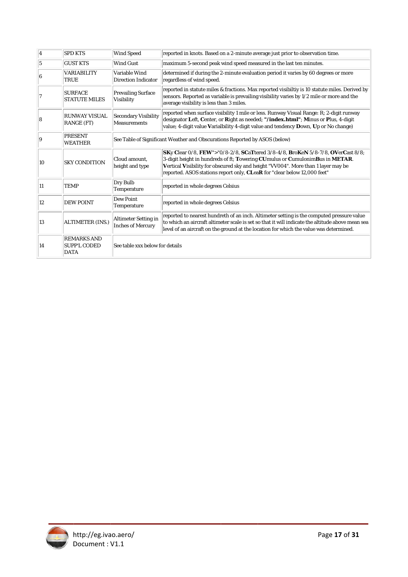| 4  | <b>SPD KTS</b>                                           | <b>Wind Speed</b>                                                          | reported in knots. Based on a 2-minute average just prior to observation time.                                                                                                                                                                                                                                                  |
|----|----------------------------------------------------------|----------------------------------------------------------------------------|---------------------------------------------------------------------------------------------------------------------------------------------------------------------------------------------------------------------------------------------------------------------------------------------------------------------------------|
| 5  | <b>GUST KTS</b>                                          | <b>Wind Gust</b>                                                           | maximum 5-second peak wind speed measured in the last ten minutes.                                                                                                                                                                                                                                                              |
| 6  | <b>VARIABILITY</b><br>TRUE                               | Variable Wind<br><b>Direction Indicator</b>                                | determined if during the 2-minute evaluation period it varies by 60 degrees or more<br>regardless of wind speed.                                                                                                                                                                                                                |
| 7  | <b>SURFACE</b><br><b>STATUTE MILES</b>                   | <b>Prevailing Surface</b><br>Visibility                                    | reported in statute miles & fractions. Max reported visibiltiy is 10 statute miles. Derived by<br>sensors. Reported as variable is prevailing visibility varies by 1/2 mile or more and the<br>average visibility is less than 3 miles.                                                                                         |
| 8  | RUNWAY VISUAL<br><b>RANGE (FT)</b>                       | <b>Secondary Visibility</b><br><b>Measurements</b>                         | reported when surface visibility 1 mile or less. Runway Visual Range: R; 2-digit runway<br>designator Left, Center, or Right as needed; "/index.html"; Minus or Plus, 4-digit<br>value; 4-digit value Varialbility 4-digit value and tendency Down, Up or No change)                                                            |
| 19 | <b>PRESENT</b><br><b>WEATHER</b>                         | See Table of Significant Weather and Obscurations Reported by ASOS (below) |                                                                                                                                                                                                                                                                                                                                 |
| 10 | <b>SKY CONDITION</b>                                     | Cloud amount.<br>height and type                                           | SKy Clear 0/8, FEW">"0/8-2/8, SCaTtered 3/8-4/8, BroKeN 5/8-7/8, OVerCast 8/8;<br>3-digit height in hundreds of ft; Towering CUmulus or CumulonimBus in METAR.<br>Vertical Visibility for obscured sky and height "VV004". More than 1 layer may be<br>reported. ASOS stations report only, CLeaR for "clear below 12,000 feet" |
| 11 | <b>TEMP</b>                                              | Dry Bulb<br>Temperature                                                    | reported in whole degrees Celsius                                                                                                                                                                                                                                                                                               |
| 12 | <b>DEW POINT</b>                                         | Dew Point<br>Temperature                                                   | reported in whole degrees Celsius                                                                                                                                                                                                                                                                                               |
| 13 | <b>ALTIMETER (INS.)</b>                                  | <b>Altimeter Setting in</b><br><b>Inches of Mercury</b>                    | reported to nearest hundreth of an inch. Altimeter setting is the computed pressure value<br>to which an aircraft altimeter scale is set so that it will indicate the altitude above mean sea<br>level of an aircraft on the ground at the location for which the value was determined.                                         |
| 14 | <b>REMARKS AND</b><br><b>SUPP'L CODED</b><br><b>DATA</b> | See table xxx below for details                                            |                                                                                                                                                                                                                                                                                                                                 |

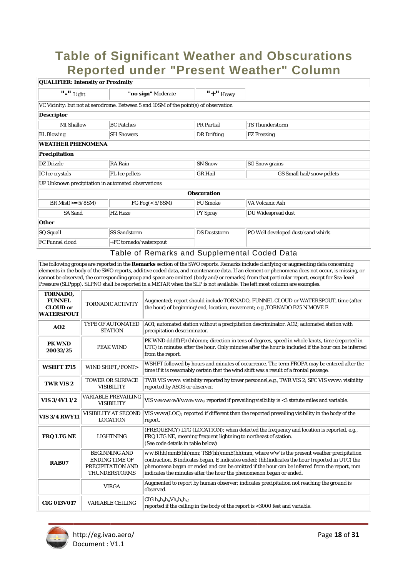# **Table of Significant Weather and Obscurations** Reported under "Present Weather" Column

| <b>QUALIFIER: Intensity or Proximity</b>                                        |                                                                                      |                     |                                    |  |  |
|---------------------------------------------------------------------------------|--------------------------------------------------------------------------------------|---------------------|------------------------------------|--|--|
| $\boldsymbol{\mathsf{''-}}\boldsymbol{\mathsf{''}}$ Light<br>"no sign" Moderate |                                                                                      | $"$ +" Heavy        |                                    |  |  |
|                                                                                 | VC Vicinity: but not at aerodrome. Between 5 and 10SM of the point(s) of observation |                     |                                    |  |  |
| <b>Descriptor</b>                                                               |                                                                                      |                     |                                    |  |  |
| <b>MI</b> Shallow                                                               | <b>BC</b> Patches                                                                    | <b>PR</b> Partial   | <b>TS Thunderstorm</b>             |  |  |
| <b>BL</b> Blowing                                                               | <b>SH Showers</b>                                                                    | <b>DR</b> Drifting  | <b>FZ</b> Freezing                 |  |  |
| <b>WEATHER PHENOMENA</b>                                                        |                                                                                      |                     |                                    |  |  |
| Precipitation                                                                   |                                                                                      |                     |                                    |  |  |
| <b>DZ</b> Drizzle                                                               | <b>RA</b> Rain                                                                       | <b>SN Snow</b>      | <b>SG Snow grains</b>              |  |  |
| IC Ice crystals                                                                 | PL Ice pellets                                                                       |                     | GS Small hail/snow pellets         |  |  |
|                                                                                 | UP Unknown precipitation in automated observations                                   |                     |                                    |  |  |
|                                                                                 | <b>Obscuration</b>                                                                   |                     |                                    |  |  |
| BR Mist $(>= 5/8SM)$                                                            | FG Fog $(5/8SM)$                                                                     | <b>FU Smoke</b>     | VA Volcanic Ash                    |  |  |
| <b>SA Sand</b>                                                                  | <b>HZ</b> Haze                                                                       | <b>PY Spray</b>     | DU Widespread dust                 |  |  |
| Other                                                                           |                                                                                      |                     |                                    |  |  |
| SQ Squall                                                                       | <b>SS Sandstorm</b>                                                                  | <b>DS Duststorm</b> | PO Well developed dust/sand whirls |  |  |
| <b>FC Funnel cloud</b>                                                          | +FC tornado/waterspout                                                               |                     |                                    |  |  |

### Table of Remarks and Supplemental Coded Data

The following groups are reported in the Remarks section of the SWO reports. Remarks include clarifying or augmenting data concerning elements in the body of the SWO reports, additive coded data, and maintenance data. If an element or phenomena does not occur, is missing, or cannot be observed, the corresponding group and space are omitted (body and/or remarks) from that particular report, except for Sea-level Pressure (SLPppp). SLPNO shall be reported in a METAR when the SLP is not available. The left most column are examples.

| TORNADO,<br><b>FUNNEL</b><br><b>CLOUD</b> or<br><b>WATERSPOUT</b> | <b>TORNADIC ACTIVITY</b>                                                                   | Augmented; report should include TORNADO, FUNNEL CLOUD or WATERSPOUT, time (after<br>the hour) of beginning/end, location, movement; e.g., TORNADO B25 N MOVE E                                                                                                                                                                                                 |
|-------------------------------------------------------------------|--------------------------------------------------------------------------------------------|-----------------------------------------------------------------------------------------------------------------------------------------------------------------------------------------------------------------------------------------------------------------------------------------------------------------------------------------------------------------|
| A <sub>02</sub>                                                   | TYPE OF AUTOMATED<br><b>STATION</b>                                                        | AO1; automated station without a precipitation descriminator. AO2; automated station with<br>precipitation descriminator.                                                                                                                                                                                                                                       |
| <b>PK WND</b><br>20032/25                                         | <b>PEAK WIND</b>                                                                           | PK WND dddff(F)/(hh)mm; direction in tens of degrees, speed in whole knots, time (reported in<br>UTC) in minutes after the hour. Only minutes after the hour is included if the hour can be inferred<br>from the report.                                                                                                                                        |
| <b>WSHFT 1715</b>                                                 | WIND SHIFT,/FONT>                                                                          | WSHFT followed by hours and minutes of occurrence. The term FROPA may be entered after the<br>time if it is reasonably certain that the wind shift was a result of a frontal passage.                                                                                                                                                                           |
| <b>TWR VIS 2</b>                                                  | <b>TOWER OR SURFACE</b><br><b>VISIBILITY</b>                                               | TWR VIS vvvvv: visibility reported by tower personnel, e.g., TWR VIS 2; SFC VIS vvvvv: visibility<br>reported by ASOS or observer.                                                                                                                                                                                                                              |
| VIS 3/4V1 1/2                                                     | <b>VARIABLE PREVAILING</b><br><b>VISIBILITY</b>                                            | VIS $v_n v_n v_n v_n v_n v_x v_x v_x v_x v_x$ ; reported if prevailing visibility is <3 statute miles and variable.                                                                                                                                                                                                                                             |
| <b>VIS 3/4 RWY11</b>                                              | <b>VISIBILITY AT SECOND</b><br><b>LOCATION</b>                                             | VIS vvvvv(LOC); reported if different than the reported prevailing visibility in the body of the<br>report.                                                                                                                                                                                                                                                     |
| <b>FRQ LTG NE</b>                                                 | <b>LIGHTNING</b>                                                                           | (FREQUENCY) LTG (LOCATION); when detected the frequency and location is reported, e.g.,<br>FRQ LTG NE, meaning frequent lightning to northeast of station.<br>(See code details in table below)                                                                                                                                                                 |
| RAB07                                                             | <b>BEGINNING AND</b><br><b>ENDING TIME OF</b><br>PRECIPITATION AND<br><b>THUNDERSTORMS</b> | w'w'B(hh)mmE(hh)mm; TSB(hh)mmE(hh)mm, where w'w' is the present weather precipitation<br>contraction, B indicates began, E indicates ended; (hh) indicates the hour (reported in UTC) the<br>phenomena began or ended and can be omitted if the hour can be inferred from the report, mm<br>indicates the minutes after the hour the phenomenon began or ended. |
|                                                                   | <b>VIRGA</b>                                                                               | Augmented to report by human observer; indicates precipitation not reaching the ground is<br>observed.                                                                                                                                                                                                                                                          |
| <b>CIG 013V017</b>                                                | <b>VARIABLE CEILING</b>                                                                    | $\overline{CIG}$ h <sub>n</sub> h <sub>n</sub> h <sub>n</sub> Vh <sub>x</sub> h <sub>x</sub> ;<br>reported if the ceiling in the body of the report is <3000 feet and variable.                                                                                                                                                                                 |

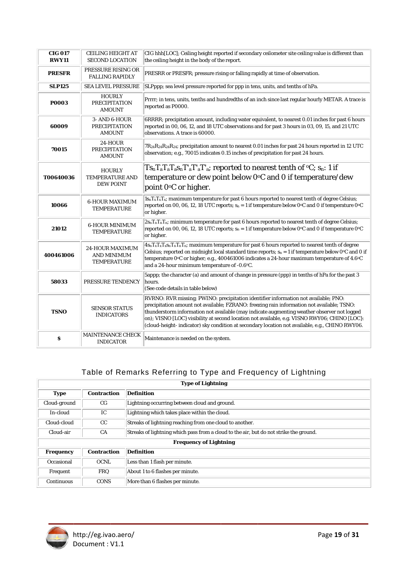| <b>CIG 017</b><br><b>RWY11</b> | <b>CEILING HEIGHT AT</b><br><b>SECOND LOCATION</b>                 | CIG hhh[LOC]; Ceiling height reported if secondary ceilometer site ceiling value is different than<br>the ceiling height in the body of the report.                                                                                                                                                                                                                                                                                                                                |  |
|--------------------------------|--------------------------------------------------------------------|------------------------------------------------------------------------------------------------------------------------------------------------------------------------------------------------------------------------------------------------------------------------------------------------------------------------------------------------------------------------------------------------------------------------------------------------------------------------------------|--|
| <b>PRESFR</b>                  | PRESSURE RISING OR<br><b>FALLING RAPIDLY</b>                       | PRESRR or PRESFR; pressure rising or falling rapidly at time of observation.                                                                                                                                                                                                                                                                                                                                                                                                       |  |
| <b>SLP125</b>                  | <b>SEA LEVEL PRESSURE</b>                                          | SLPppp; sea level pressure reported for ppp in tens, units, and tenths of hPa.                                                                                                                                                                                                                                                                                                                                                                                                     |  |
| <b>POOO3</b>                   | <b>HOURLY</b><br><b>PRECIPITATION</b><br><b>AMOUNT</b>             | Prrrr; in tens, units, tenths and hundredths of an inch since last regular hourly METAR. A trace is<br>reported as P0000.                                                                                                                                                                                                                                                                                                                                                          |  |
| 60009                          | 3- AND 6-HOUR<br><b>PRECIPITATION</b><br><b>AMOUNT</b>             | 6RRRR; precipitation amount, including water equivalent, to nearest 0.01 inches for past 6 hours<br>reported in 00, 06, 12, and 18 UTC observations and for past 3 hours in 03, 09, 15, and 21 UTC<br>observations. A trace is 60000.                                                                                                                                                                                                                                              |  |
| 70015                          | 24-HOUR<br><b>PRECIPITATION</b><br><b>AMOUNT</b>                   | $7R_{24}R_{24}R_{24}R_{24}$ ; precipitation amount to nearest 0.01 inches for past 24 hours reported in 12 UTC<br>observation; e.g., 70015 indicates 0.15 inches of precipitation for past 24 hours.                                                                                                                                                                                                                                                                               |  |
| T00640036                      | <b>HOURLY</b><br><b>TEMPERATURE AND</b><br><b>DEW POINT</b>        | $Ts_nT_aT_aT_aS_nT'_aT'_aT'_a$ ; reported to nearest tenth of $\rm ^oC;$ $s_n$ : 1 if<br>temperature or dew point below 0°C and 0 if temperature/dew<br>point 0°C or higher.                                                                                                                                                                                                                                                                                                       |  |
| 10066                          | <b>6-HOUR MAXIMUM</b><br><b>TEMPERATURE</b>                        | $\frac{1}{1}$ S <sub>n</sub> T <sub>x</sub> T <sub>x</sub> T <sub>x</sub> ; maximum temperature for past 6 hours reported to nearest tenth of degree Celsius;<br>reported on 00, 06, 12, 18 UTC reports; $s_n = 1$ if temperature below 0°C and 0 if temperature 0°C<br>or higher.                                                                                                                                                                                                 |  |
| 21012                          | <b>6-HOUR MINIMUM</b><br><b>TEMPERATURE</b>                        | $2s_nT_nT_nT_n$ ; minimum temperature for past 6 hours reported to nearest tenth of degree Celsius;<br>reported on 00, 06, 12, 18 UTC reports; $s_n = 1$ if temperature below 0°C and 0 if temperature 0°C<br>or higher.                                                                                                                                                                                                                                                           |  |
| 400461006                      | <b>24-HOUR MAXIMUM</b><br><b>AND MINIMUM</b><br><b>TEMPERATURE</b> | $4s_nT_xT_xT_xs_nT_nT_nT_n$ ; maximum temperature for past 6 hours reported to nearest tenth of degree<br>Celsius; reported on midnight local standard time reports; $s_n = 1$ if temperature below 0°C and 0 if<br>temperature 0°C or higher; e.g., 400461006 indicates a 24-hour maximum temperature of 4.6°C<br>and a 24-hour minimum temperature of -0.6°C.                                                                                                                    |  |
| 58033                          | <b>PRESSURE TENDENCY</b>                                           | 5 5appp; the character (a) and amount of change in pressure (ppp) in tenths of hPa for the past 3<br>hours.<br>(See code details in table below)                                                                                                                                                                                                                                                                                                                                   |  |
| <b>TSNO</b>                    | <b>SENSOR STATUS</b><br><b>INDICATORS</b>                          | RVRNO: RVR missing; PWINO: precipitation identifier information not available; PNO:<br>precipitation amount not available; FZRANO: freezing rain information not available; TSNO:<br>thunderstorm information not available (may indicate augmenting weather observer not logged<br>on); VISNO [LOC} visibility at second location not available, e.g. VISNO RWY06; CHINO [LOC}:<br>(cloud-height-indicator) sky condition at secondary location not available, e.g., CHINO RWY06. |  |
| s                              | MAINTENANCE CHECK<br><b>INDICATOR</b>                              | Maintenance is needed on the system.                                                                                                                                                                                                                                                                                                                                                                                                                                               |  |

# Table of Remarks Referring to Type and Frequency of Lightning

| <b>Type of Lightning</b>      |                    |                                                                                        |  |
|-------------------------------|--------------------|----------------------------------------------------------------------------------------|--|
| <b>Type</b>                   | <b>Contraction</b> | <b>Definition</b>                                                                      |  |
| Cloud-ground                  | CG                 | Lightning occurring between cloud and ground.                                          |  |
| In-cloud                      | IC                 | Lightning which takes place within the cloud.                                          |  |
| Cloud-cloud                   | CC                 | Streaks of lightning reaching from one cloud to another.                               |  |
| Cloud-air                     | <b>CA</b>          | Streaks of lightning which pass from a cloud to the air, but do not strike the ground. |  |
| <b>Frequency of Lightning</b> |                    |                                                                                        |  |
| <b>Frequency</b>              | <b>Contraction</b> | <b>Definition</b>                                                                      |  |
| Occasional                    | <b>OCNL</b>        | Less than 1 flash per minute.                                                          |  |
| Frequent                      | <b>FRQ</b>         | About 1 to 6 flashes per minute.                                                       |  |
| Continuous                    | <b>CONS</b>        | More than 6 flashes per minute.                                                        |  |

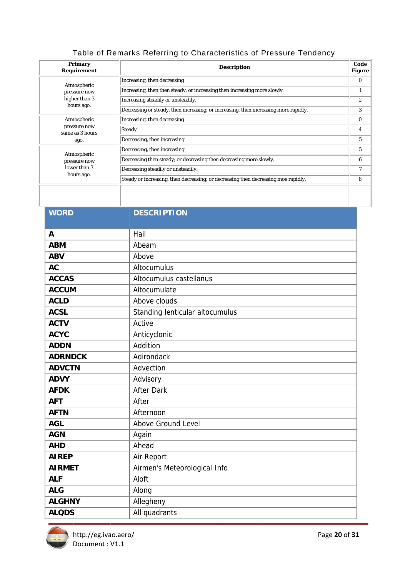# Table of Remarks Referring to Characteristics of Pressure Tendency

| <b>Primary</b><br><b>Requirement</b> | <b>Description</b>                                                                  | Code<br><b>Figure</b> |
|--------------------------------------|-------------------------------------------------------------------------------------|-----------------------|
| Atmospheric                          | Increasing, then decreasing                                                         | $\bf{0}$              |
| pressure now                         | Increasing, then then steady, or increasing then increasing more slowly.            | $\bf{l}$              |
| higher than 3                        | Increasing steadily or unsteadily.                                                  | $\overline{c}$        |
| hours ago.                           | Decreasing or steady, then increasing; or increasing, then increasing more rapidly. | 3                     |
| Atmospheric                          | Increasing, then decreasing                                                         | $\bf{0}$              |
| pressure now<br>same as 3 hours      | <b>Steady</b>                                                                       | 4                     |
| ago.                                 | Decreasing, then increasing.                                                        | 5                     |
| Atmospheric                          | Decreasing, then increasing.                                                        | 5                     |
| pressure now                         | Decreasing then steady; or decreasing then decreasing more slowly.                  | 6                     |
| lower than 3                         | Decreasing steadily or unsteadily.                                                  | 7                     |
| hours ago.                           | Steady or increasing, then decreasing; or decreasing then decreasing moe rapidly.   | 8                     |
|                                      |                                                                                     |                       |

| <b>WORD</b>    | <b>DESCRIPTION</b>              |
|----------------|---------------------------------|
|                | Hail                            |
| A              |                                 |
| <b>ABM</b>     | Abeam                           |
| <b>ABV</b>     | Above                           |
| <b>AC</b>      | Altocumulus                     |
| <b>ACCAS</b>   | Altocumulus castellanus         |
| <b>ACCUM</b>   | Altocumulate                    |
| <b>ACLD</b>    | Above clouds                    |
| <b>ACSL</b>    | Standing lenticular altocumulus |
| <b>ACTV</b>    | Active                          |
| <b>ACYC</b>    | Anticyclonic                    |
| <b>ADDN</b>    | Addition                        |
| <b>ADRNDCK</b> | Adirondack                      |
| <b>ADVCTN</b>  | Advection                       |
| <b>ADVY</b>    | Advisory                        |
| <b>AFDK</b>    | <b>After Dark</b>               |
| <b>AFT</b>     | After                           |
| <b>AFTN</b>    | Afternoon                       |
| <b>AGL</b>     | Above Ground Level              |
| <b>AGN</b>     | Again                           |
| <b>AHD</b>     | Ahead                           |
| <b>AIREP</b>   | Air Report                      |
| <b>AIRMET</b>  | Airmen's Meteorological Info    |
| <b>ALF</b>     | Aloft                           |
| <b>ALG</b>     | Along                           |
| <b>ALGHNY</b>  | Allegheny                       |
| <b>ALQDS</b>   | All quadrants                   |

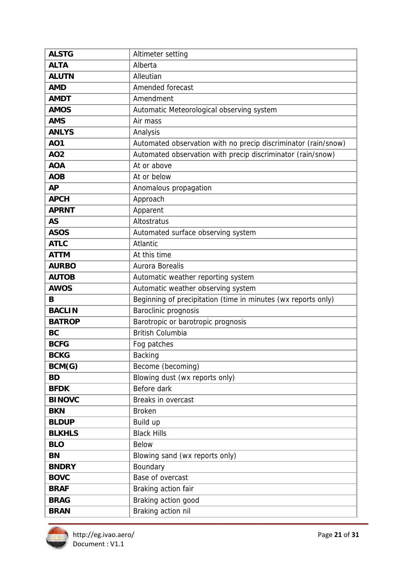| <b>ALSTG</b>  | Altimeter setting                                              |
|---------------|----------------------------------------------------------------|
| <b>ALTA</b>   | Alberta                                                        |
| <b>ALUTN</b>  | Alleutian                                                      |
| <b>AMD</b>    | Amended forecast                                               |
| <b>AMDT</b>   | Amendment                                                      |
| <b>AMOS</b>   | Automatic Meteorological observing system                      |
| <b>AMS</b>    | Air mass                                                       |
| <b>ANLYS</b>  | Analysis                                                       |
| <b>AO1</b>    | Automated observation with no precip discriminator (rain/snow) |
| <b>AO2</b>    | Automated observation with precip discriminator (rain/snow)    |
| <b>AOA</b>    | At or above                                                    |
| <b>AOB</b>    | At or below                                                    |
| <b>AP</b>     | Anomalous propagation                                          |
| <b>APCH</b>   | Approach                                                       |
| <b>APRNT</b>  | Apparent                                                       |
| <b>AS</b>     | Altostratus                                                    |
| <b>ASOS</b>   | Automated surface observing system                             |
| <b>ATLC</b>   | Atlantic                                                       |
| <b>ATTM</b>   | At this time                                                   |
| <b>AURBO</b>  | Aurora Borealis                                                |
| <b>AUTOB</b>  | Automatic weather reporting system                             |
| <b>AWOS</b>   | Automatic weather observing system                             |
| B             | Beginning of precipitation (time in minutes (wx reports only)  |
| <b>BACLIN</b> | Baroclinic prognosis                                           |
| <b>BATROP</b> | Barotropic or barotropic prognosis                             |
| <b>BC</b>     | <b>British Columbia</b>                                        |
| <b>BCFG</b>   | Fog patches                                                    |
| <b>BCKG</b>   | <b>Backing</b>                                                 |
| BCM(G)        | Become (becoming)                                              |
| <b>BD</b>     | Blowing dust (wx reports only)                                 |
| <b>BFDK</b>   | Before dark                                                    |
| <b>BINOVC</b> | Breaks in overcast                                             |
| <b>BKN</b>    | <b>Broken</b>                                                  |
| <b>BLDUP</b>  | Build up                                                       |
| <b>BLKHLS</b> | <b>Black Hills</b>                                             |
| <b>BLO</b>    | <b>Below</b>                                                   |
| <b>BN</b>     | Blowing sand (wx reports only)                                 |
| <b>BNDRY</b>  | Boundary                                                       |
| <b>BOVC</b>   | Base of overcast                                               |
| <b>BRAF</b>   | Braking action fair                                            |
| <b>BRAG</b>   | Braking action good                                            |
| <b>BRAN</b>   | Braking action nil                                             |

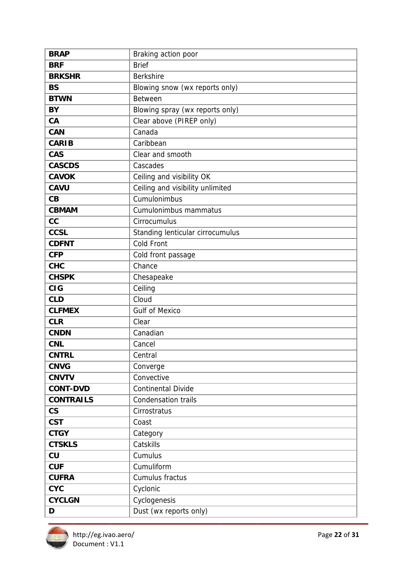| <b>BRAP</b>              | Braking action poor              |
|--------------------------|----------------------------------|
| <b>BRF</b>               | <b>Brief</b>                     |
| <b>BRKSHR</b>            | <b>Berkshire</b>                 |
| <b>BS</b>                | Blowing snow (wx reports only)   |
| <b>BTWN</b>              | <b>Between</b>                   |
| BY                       | Blowing spray (wx reports only)  |
| CA                       | Clear above (PIREP only)         |
| <b>CAN</b>               | Canada                           |
| <b>CARIB</b>             | Caribbean                        |
| <b>CAS</b>               | Clear and smooth                 |
| <b>CASCDS</b>            | Cascades                         |
| <b>CAVOK</b>             | Ceiling and visibility OK        |
| <b>CAVU</b>              | Ceiling and visibility unlimited |
| CB                       | Cumulonimbus                     |
| <b>CBMAM</b>             | Cumulonimbus mammatus            |
| cc                       | Cirrocumulus                     |
| <b>CCSL</b>              | Standing lenticular cirrocumulus |
| <b>CDFNT</b>             | <b>Cold Front</b>                |
| <b>CFP</b>               | Cold front passage               |
| <b>CHC</b>               | Chance                           |
| <b>CHSPK</b>             | Chesapeake                       |
| <b>CIG</b>               | Ceiling                          |
| <b>CLD</b>               | Cloud                            |
| <b>CLFMEX</b>            | <b>Gulf of Mexico</b>            |
| <b>CLR</b>               | Clear                            |
| <b>CNDN</b>              | Canadian                         |
| <b>CNL</b>               | Cancel                           |
| <b>CNTRL</b>             | Central                          |
| <b>CNVG</b>              | Converge                         |
| <b>CNVTV</b>             | Convective                       |
| <b>CONT-DVD</b>          | <b>Continental Divide</b>        |
| <b>CONTRAILS</b>         | <b>Condensation trails</b>       |
| $\mathsf{CS}\phantom{0}$ | Cirrostratus                     |
| <b>CST</b>               | Coast                            |
| <b>CTGY</b>              | Category                         |
| <b>CTSKLS</b>            | Catskills                        |
| CU                       | Cumulus                          |
| <b>CUF</b>               | Cumuliform                       |
| <b>CUFRA</b>             | Cumulus fractus                  |
| <b>CYC</b>               | Cyclonic                         |
| <b>CYCLGN</b>            | Cyclogenesis                     |
| D                        | Dust (wx reports only)           |

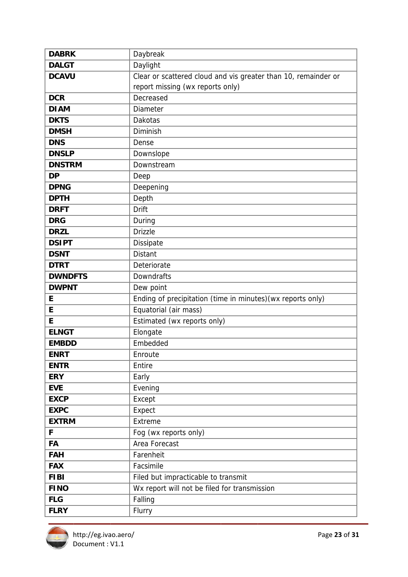| <b>DABRK</b>   | Daybreak                                                       |
|----------------|----------------------------------------------------------------|
| <b>DALGT</b>   | Daylight                                                       |
| <b>DCAVU</b>   | Clear or scattered cloud and vis greater than 10, remainder or |
|                | report missing (wx reports only)                               |
| <b>DCR</b>     | Decreased                                                      |
| <b>DIAM</b>    | Diameter                                                       |
| <b>DKTS</b>    | Dakotas                                                        |
| <b>DMSH</b>    | Diminish                                                       |
| <b>DNS</b>     | Dense                                                          |
| <b>DNSLP</b>   | Downslope                                                      |
| <b>DNSTRM</b>  | Downstream                                                     |
| <b>DP</b>      | Deep                                                           |
| <b>DPNG</b>    | Deepening                                                      |
| <b>DPTH</b>    | Depth                                                          |
| <b>DRFT</b>    | <b>Drift</b>                                                   |
| <b>DRG</b>     | During                                                         |
| <b>DRZL</b>    | <b>Drizzle</b>                                                 |
| <b>DSIPT</b>   | Dissipate                                                      |
| <b>DSNT</b>    | <b>Distant</b>                                                 |
| <b>DTRT</b>    | Deteriorate                                                    |
| <b>DWNDFTS</b> | Downdrafts                                                     |
| <b>DWPNT</b>   | Dew point                                                      |
| E              | Ending of precipitation (time in minutes) (wx reports only)    |
| E              | Equatorial (air mass)                                          |
| E              | Estimated (wx reports only)                                    |
| <b>ELNGT</b>   | Elongate                                                       |
| <b>EMBDD</b>   | Embedded                                                       |
| <b>ENRT</b>    | Enroute                                                        |
| <b>ENTR</b>    | Entire                                                         |
| <b>ERY</b>     | Early                                                          |
| <b>EVE</b>     | Evening                                                        |
| <b>EXCP</b>    | Except                                                         |
| <b>EXPC</b>    | Expect                                                         |
| <b>EXTRM</b>   | Extreme                                                        |
| F              | Fog (wx reports only)                                          |
| FA             | Area Forecast                                                  |
| <b>FAH</b>     | Farenheit                                                      |
| <b>FAX</b>     | Facsimile                                                      |
| <b>FIBI</b>    | Filed but impracticable to transmit                            |
| <b>FINO</b>    | Wx report will not be filed for transmission                   |
| <b>FLG</b>     | Falling                                                        |
| <b>FLRY</b>    | Flurry                                                         |

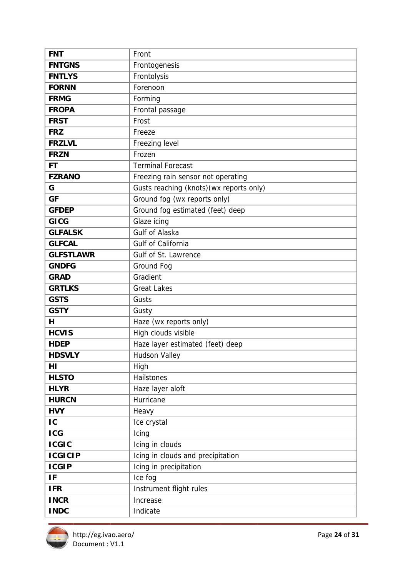| <b>FNT</b>       | Front                                    |
|------------------|------------------------------------------|
| <b>FNTGNS</b>    | Frontogenesis                            |
| <b>FNTLYS</b>    | Frontolysis                              |
| <b>FORNN</b>     | Forenoon                                 |
| <b>FRMG</b>      | Forming                                  |
| <b>FROPA</b>     | Frontal passage                          |
| <b>FRST</b>      | Frost                                    |
| <b>FRZ</b>       | Freeze                                   |
| <b>FRZLVL</b>    | Freezing level                           |
| <b>FRZN</b>      | Frozen                                   |
| <b>FT</b>        | <b>Terminal Forecast</b>                 |
| <b>FZRANO</b>    | Freezing rain sensor not operating       |
| G                | Gusts reaching (knots) (wx reports only) |
| <b>GF</b>        | Ground fog (wx reports only)             |
| <b>GFDEP</b>     | Ground fog estimated (feet) deep         |
| <b>GICG</b>      | Glaze icing                              |
| <b>GLFALSK</b>   | Gulf of Alaska                           |
| <b>GLFCAL</b>    | Gulf of California                       |
| <b>GLFSTLAWR</b> | Gulf of St. Lawrence                     |
| <b>GNDFG</b>     | Ground Fog                               |
| <b>GRAD</b>      | Gradient                                 |
| <b>GRTLKS</b>    | <b>Great Lakes</b>                       |
| <b>GSTS</b>      | Gusts                                    |
| <b>GSTY</b>      | Gusty                                    |
| н                | Haze (wx reports only)                   |
| <b>HCVIS</b>     | High clouds visible                      |
| <b>HDEP</b>      | Haze layer estimated (feet) deep         |
| <b>HDSVLY</b>    | <b>Hudson Valley</b>                     |
| ΗI               | High                                     |
| <b>HLSTO</b>     | Hailstones                               |
| <b>HLYR</b>      | Haze layer aloft                         |
| <b>HURCN</b>     | Hurricane                                |
| <b>HVY</b>       | Heavy                                    |
| IC               | Ice crystal                              |
| <b>ICG</b>       | Icing                                    |
| <b>ICGIC</b>     | Icing in clouds                          |
| <b>ICGICIP</b>   | Icing in clouds and precipitation        |
| <b>ICGIP</b>     | Icing in precipitation                   |
| IF               | Ice fog                                  |
| <b>IFR</b>       | Instrument flight rules                  |
| <b>INCR</b>      | Increase                                 |
| <b>INDC</b>      | Indicate                                 |

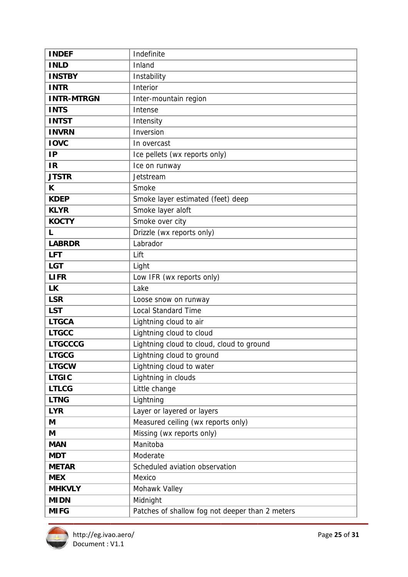| <b>INDEF</b>      | Indefinite                                      |
|-------------------|-------------------------------------------------|
| <b>INLD</b>       | Inland                                          |
| <b>INSTBY</b>     | Instability                                     |
| <b>INTR</b>       | Interior                                        |
| <b>INTR-MTRGN</b> | Inter-mountain region                           |
| <b>INTS</b>       | Intense                                         |
| <b>INTST</b>      | Intensity                                       |
| <b>INVRN</b>      | Inversion                                       |
| <b>IOVC</b>       | In overcast                                     |
| <b>IP</b>         | Ice pellets (wx reports only)                   |
| <b>IR</b>         | Ice on runway                                   |
| <b>JTSTR</b>      | Jetstream                                       |
| K                 | Smoke                                           |
| <b>KDEP</b>       | Smoke layer estimated (feet) deep               |
| <b>KLYR</b>       | Smoke layer aloft                               |
| <b>KOCTY</b>      | Smoke over city                                 |
| L                 | Drizzle (wx reports only)                       |
| <b>LABRDR</b>     | Labrador                                        |
| <b>LFT</b>        | Lift                                            |
| <b>LGT</b>        | Light                                           |
| <b>LIFR</b>       | Low IFR (wx reports only)                       |
| <b>LK</b>         | Lake                                            |
| <b>LSR</b>        | Loose snow on runway                            |
| <b>LST</b>        | <b>Local Standard Time</b>                      |
| <b>LTGCA</b>      | Lightning cloud to air                          |
| <b>LTGCC</b>      | Lightning cloud to cloud                        |
| <b>LTGCCCG</b>    | Lightning cloud to cloud, cloud to ground       |
| <b>LTGCG</b>      | Lightning cloud to ground                       |
| <b>LTGCW</b>      | Lightning cloud to water                        |
| <b>LTGIC</b>      | Lightning in clouds                             |
| <b>LTLCG</b>      | Little change                                   |
| <b>LTNG</b>       | Lightning                                       |
| <b>LYR</b>        | Layer or layered or layers                      |
| M                 | Measured ceiling (wx reports only)              |
| M                 | Missing (wx reports only)                       |
| <b>MAN</b>        | Manitoba                                        |
| <b>MDT</b>        | Moderate                                        |
| <b>METAR</b>      | Scheduled aviation observation                  |
| <b>MEX</b>        | Mexico                                          |
| <b>MHKVLY</b>     | Mohawk Valley                                   |
| <b>MIDN</b>       | Midnight                                        |
| <b>MIFG</b>       | Patches of shallow fog not deeper than 2 meters |

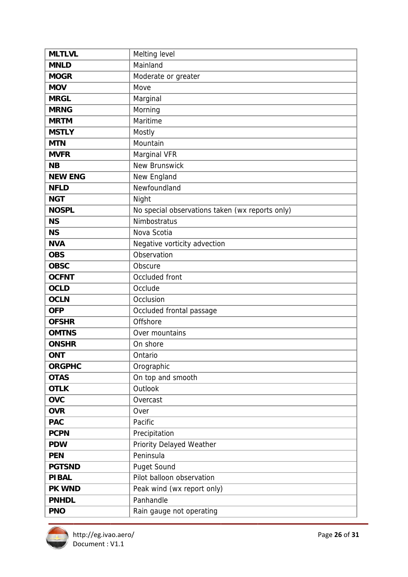| <b>MLTLVL</b>  | Melting level                                   |
|----------------|-------------------------------------------------|
| <b>MNLD</b>    | Mainland                                        |
| <b>MOGR</b>    | Moderate or greater                             |
| <b>MOV</b>     | Move                                            |
| <b>MRGL</b>    | Marginal                                        |
| <b>MRNG</b>    | Morning                                         |
| <b>MRTM</b>    | Maritime                                        |
| <b>MSTLY</b>   | Mostly                                          |
| <b>MTN</b>     | Mountain                                        |
| <b>MVFR</b>    | Marginal VFR                                    |
| <b>NB</b>      | <b>New Brunswick</b>                            |
| <b>NEW ENG</b> | New England                                     |
| <b>NFLD</b>    | Newfoundland                                    |
| <b>NGT</b>     | Night                                           |
| <b>NOSPL</b>   | No special observations taken (wx reports only) |
| <b>NS</b>      | Nimbostratus                                    |
| <b>NS</b>      | Nova Scotia                                     |
| <b>NVA</b>     | Negative vorticity advection                    |
| <b>OBS</b>     | Observation                                     |
| <b>OBSC</b>    | Obscure                                         |
| <b>OCFNT</b>   | Occluded front                                  |
| <b>OCLD</b>    | Occlude                                         |
| <b>OCLN</b>    | Occlusion                                       |
| <b>OFP</b>     | Occluded frontal passage                        |
| <b>OFSHR</b>   | Offshore                                        |
| <b>OMTNS</b>   | Over mountains                                  |
| <b>ONSHR</b>   | On shore                                        |
| <b>ONT</b>     | Ontario                                         |
| <b>ORGPHC</b>  | Orographic                                      |
| <b>OTAS</b>    | On top and smooth                               |
| <b>OTLK</b>    | Outlook                                         |
| <b>OVC</b>     | Overcast                                        |
| <b>OVR</b>     | Over                                            |
| <b>PAC</b>     | Pacific                                         |
| <b>PCPN</b>    | Precipitation                                   |
| <b>PDW</b>     | Priority Delayed Weather                        |
| <b>PEN</b>     | Peninsula                                       |
| <b>PGTSND</b>  | Puget Sound                                     |
| <b>PIBAL</b>   | Pilot balloon observation                       |
| PK WND         | Peak wind (wx report only)                      |
| <b>PNHDL</b>   | Panhandle                                       |
| <b>PNO</b>     | Rain gauge not operating                        |

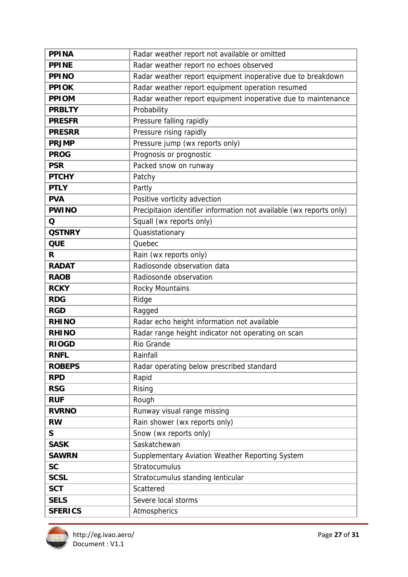| <b>PPINA</b>   | Radar weather report not available or omitted                       |
|----------------|---------------------------------------------------------------------|
| <b>PPINE</b>   | Radar weather report no echoes observed                             |
| <b>PPINO</b>   | Radar weather report equipment inoperative due to breakdown         |
| <b>PPIOK</b>   | Radar weather report equipment operation resumed                    |
| <b>PPIOM</b>   | Radar weather report equipment inoperative due to maintenance       |
| <b>PRBLTY</b>  | Probability                                                         |
| <b>PRESFR</b>  | Pressure falling rapidly                                            |
| <b>PRESRR</b>  | Pressure rising rapidly                                             |
| <b>PRJMP</b>   | Pressure jump (wx reports only)                                     |
| <b>PROG</b>    | Prognosis or prognostic                                             |
| <b>PSR</b>     | Packed snow on runway                                               |
| <b>PTCHY</b>   | Patchy                                                              |
| <b>PTLY</b>    | Partly                                                              |
| <b>PVA</b>     | Positive vorticity advection                                        |
| <b>PWINO</b>   | Precipitaion identifier information not available (wx reports only) |
| Q              | Squall (wx reports only)                                            |
| <b>QSTNRY</b>  | Quasistationary                                                     |
| <b>QUE</b>     | Quebec                                                              |
| R              | Rain (wx reports only)                                              |
| <b>RADAT</b>   | Radiosonde observation data                                         |
| <b>RAOB</b>    | Radiosonde observation                                              |
| <b>RCKY</b>    | Rocky Mountains                                                     |
| <b>RDG</b>     | Ridge                                                               |
| <b>RGD</b>     | Ragged                                                              |
| <b>RHINO</b>   | Radar echo height information not available                         |
| <b>RHINO</b>   | Radar range height indicator not operating on scan                  |
| <b>RIOGD</b>   | Rio Grande                                                          |
| <b>RNFL</b>    | Rainfall                                                            |
| <b>ROBEPS</b>  | Radar operating below prescribed standard                           |
| <b>RPD</b>     | Rapid                                                               |
| <b>RSG</b>     | Rising                                                              |
| <b>RUF</b>     | Rough                                                               |
| <b>RVRNO</b>   | Runway visual range missing                                         |
| <b>RW</b>      | Rain shower (wx reports only)                                       |
| S              | Snow (wx reports only)                                              |
| <b>SASK</b>    | Saskatchewan                                                        |
| <b>SAWRN</b>   | Supplementary Aviation Weather Reporting System                     |
| <b>SC</b>      | Stratocumulus                                                       |
| <b>SCSL</b>    | Stratocumulus standing lenticular                                   |
| <b>SCT</b>     | Scattered                                                           |
| <b>SELS</b>    | Severe local storms                                                 |
| <b>SFERICS</b> | Atmospherics                                                        |

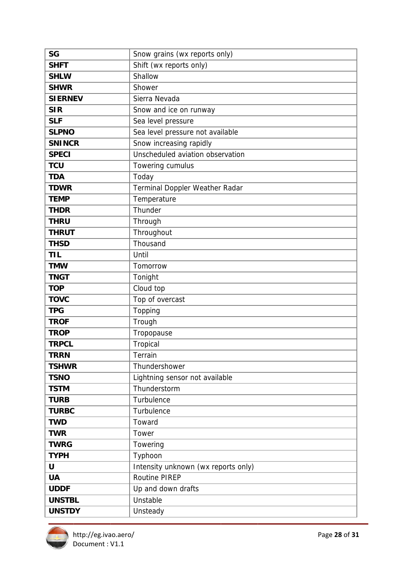| <b>SG</b>      | Snow grains (wx reports only)       |
|----------------|-------------------------------------|
| <b>SHFT</b>    | Shift (wx reports only)             |
| <b>SHLW</b>    | Shallow                             |
| <b>SHWR</b>    | Shower                              |
| <b>SIERNEV</b> | Sierra Nevada                       |
| <b>SIR</b>     | Snow and ice on runway              |
| <b>SLF</b>     | Sea level pressure                  |
| <b>SLPNO</b>   | Sea level pressure not available    |
| <b>SNINCR</b>  | Snow increasing rapidly             |
| <b>SPECI</b>   | Unscheduled aviation observation    |
| <b>TCU</b>     | Towering cumulus                    |
| <b>TDA</b>     | Today                               |
| <b>TDWR</b>    | Terminal Doppler Weather Radar      |
| <b>TEMP</b>    | Temperature                         |
| <b>THDR</b>    | Thunder                             |
| <b>THRU</b>    | Through                             |
| <b>THRUT</b>   | Throughout                          |
| <b>THSD</b>    | Thousand                            |
| <b>TIL</b>     | Until                               |
| <b>TMW</b>     | Tomorrow                            |
| <b>TNGT</b>    | Tonight                             |
| <b>TOP</b>     | Cloud top                           |
| <b>TOVC</b>    | Top of overcast                     |
| <b>TPG</b>     | Topping                             |
| <b>TROF</b>    | Trough                              |
| <b>TROP</b>    | Tropopause                          |
| <b>TRPCL</b>   | Tropical                            |
| <b>TRRN</b>    | Terrain                             |
| <b>TSHWR</b>   | Thundershower                       |
| <b>TSNO</b>    | Lightning sensor not available      |
| <b>TSTM</b>    | Thunderstorm                        |
| <b>TURB</b>    | Turbulence                          |
| <b>TURBC</b>   | Turbulence                          |
| <b>TWD</b>     | Toward                              |
| <b>TWR</b>     | Tower                               |
| <b>TWRG</b>    | Towering                            |
| <b>TYPH</b>    | Typhoon                             |
| U              | Intensity unknown (wx reports only) |
| <b>UA</b>      | <b>Routine PIREP</b>                |
| <b>UDDF</b>    | Up and down drafts                  |
| <b>UNSTBL</b>  | Unstable                            |
| <b>UNSTDY</b>  | Unsteady                            |

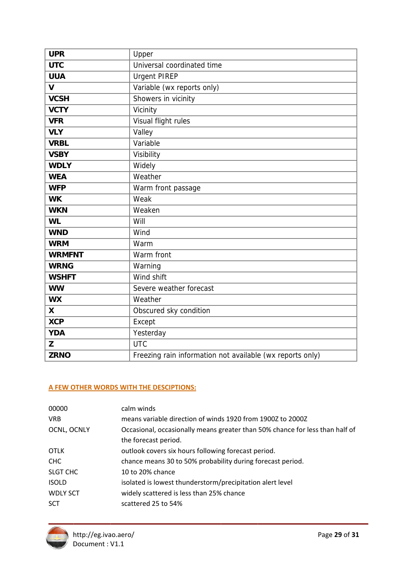| <b>UPR</b>    | Upper                                                     |
|---------------|-----------------------------------------------------------|
| <b>UTC</b>    | Universal coordinated time                                |
| <b>UUA</b>    | <b>Urgent PIREP</b>                                       |
| V             | Variable (wx reports only)                                |
| <b>VCSH</b>   | Showers in vicinity                                       |
| <b>VCTY</b>   | Vicinity                                                  |
| <b>VFR</b>    | Visual flight rules                                       |
| <b>VLY</b>    | Valley                                                    |
| <b>VRBL</b>   | Variable                                                  |
| <b>VSBY</b>   | Visibility                                                |
| <b>WDLY</b>   | Widely                                                    |
| <b>WEA</b>    | Weather                                                   |
| <b>WFP</b>    | Warm front passage                                        |
| <b>WK</b>     | Weak                                                      |
| <b>WKN</b>    | Weaken                                                    |
| <b>WL</b>     | Will                                                      |
| <b>WND</b>    | Wind                                                      |
| <b>WRM</b>    | Warm                                                      |
| <b>WRMFNT</b> | Warm front                                                |
| <b>WRNG</b>   | Warning                                                   |
| <b>WSHFT</b>  | Wind shift                                                |
| <b>WW</b>     | Severe weather forecast                                   |
| <b>WX</b>     | Weather                                                   |
| X             | Obscured sky condition                                    |
| <b>XCP</b>    | Except                                                    |
| <b>YDA</b>    | Yesterday                                                 |
| Z             | <b>UTC</b>                                                |
| <b>ZRNO</b>   | Freezing rain information not available (wx reports only) |

# A FEW OTHER WORDS WITH THE DESCIPTIONS:

| 00000           | calm winds                                                                   |
|-----------------|------------------------------------------------------------------------------|
| <b>VRB</b>      | means variable direction of winds 1920 from 1900Z to 2000Z                   |
| OCNL, OCNLY     | Occasional, occasionally means greater than 50% chance for less than half of |
|                 | the forecast period.                                                         |
| <b>OTLK</b>     | outlook covers six hours following forecast period.                          |
| CHC             | chance means 30 to 50% probability during forecast period.                   |
| SLGT CHC        | 10 to 20% chance                                                             |
| <b>ISOLD</b>    | isolated is lowest thunderstorm/precipitation alert level                    |
| <b>WDLY SCT</b> | widely scattered is less than 25% chance                                     |
| <b>SCT</b>      | scattered 25 to 54%                                                          |
|                 |                                                                              |

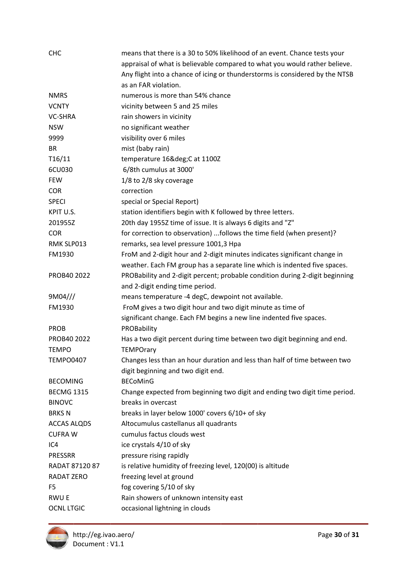| <b>CHC</b>         | means that there is a 30 to 50% likelihood of an event. Chance tests your    |
|--------------------|------------------------------------------------------------------------------|
|                    | appraisal of what is believable compared to what you would rather believe.   |
|                    | Any flight into a chance of icing or thunderstorms is considered by the NTSB |
|                    | as an FAR violation.                                                         |
| <b>NMRS</b>        | numerous is more than 54% chance                                             |
| <b>VCNTY</b>       | vicinity between 5 and 25 miles                                              |
| <b>VC-SHRA</b>     | rain showers in vicinity                                                     |
| <b>NSW</b>         | no significant weather                                                       |
| 9999               | visibility over 6 miles                                                      |
| <b>BR</b>          | mist (baby rain)                                                             |
| T16/11             | temperature 16°C at 1100Z                                                    |
| 6CU030             | 6/8th cumulus at 3000'                                                       |
| <b>FEW</b>         | 1/8 to 2/8 sky coverage                                                      |
| <b>COR</b>         | correction                                                                   |
| <b>SPECI</b>       | special or Special Report)                                                   |
| KPIT U.S.          | station identifiers begin with K followed by three letters.                  |
| 201955Z            | 20th day 1955Z time of issue. It is always 6 digits and "Z"                  |
| <b>COR</b>         | for correction to observation) follows the time field (when present)?        |
| RMK SLP013         | remarks, sea level pressure 1001,3 Hpa                                       |
| FM1930             | FroM and 2-digit hour and 2-digit minutes indicates significant change in    |
|                    | weather. Each FM group has a separate line which is indented five spaces.    |
| PROB40 2022        | PROBability and 2-digit percent; probable condition during 2-digit beginning |
|                    | and 2-digit ending time period.                                              |
| 9M04///            | means temperature -4 degC, dewpoint not available.                           |
| FM1930             | FroM gives a two digit hour and two digit minute as time of                  |
|                    | significant change. Each FM begins a new line indented five spaces.          |
| <b>PROB</b>        | PROBability                                                                  |
| PROB40 2022        | Has a two digit percent during time between two digit beginning and end.     |
| <b>TEMPO</b>       | <b>TEMPOrary</b>                                                             |
| <b>TEMPO0407</b>   | Changes less than an hour duration and less than half of time between two    |
|                    | digit beginning and two digit end.                                           |
| <b>BECOMING</b>    | <b>BECoMinG</b>                                                              |
| <b>BECMG 1315</b>  | Change expected from beginning two digit and ending two digit time period.   |
| <b>BINOVC</b>      | breaks in overcast                                                           |
| <b>BRKSN</b>       | breaks in layer below 1000' covers 6/10+ of sky                              |
| <b>ACCAS ALQDS</b> | Altocumulus castellanus all quadrants                                        |
| <b>CUFRAW</b>      | cumulus factus clouds west                                                   |
| IC4                | ice crystals 4/10 of sky                                                     |
| PRESSRR            | pressure rising rapidly                                                      |
| RADAT 87120 87     | is relative humidity of freezing level, 120(00) is altitude                  |
| RADAT ZERO         | freezing level at ground                                                     |
| F <sub>5</sub>     | fog covering 5/10 of sky                                                     |
| <b>RWUE</b>        | Rain showers of unknown intensity east                                       |
| <b>OCNL LTGIC</b>  | occasional lightning in clouds                                               |